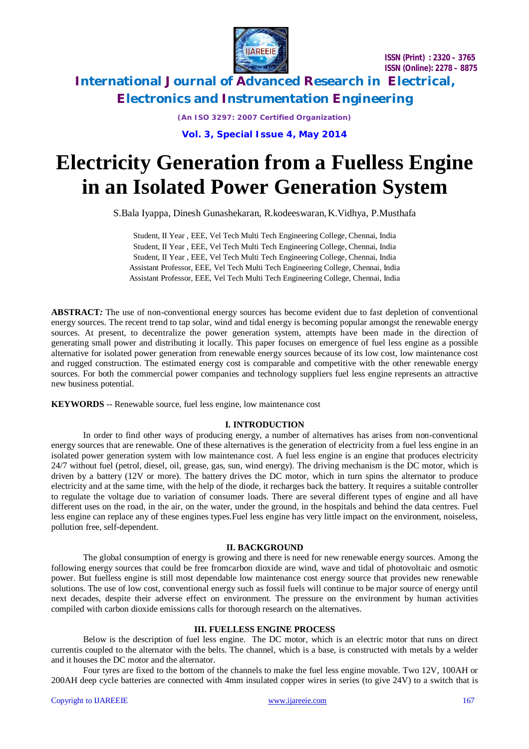

**International Journal of Advanced Research in Electrical, Electronics and Instrumentation Engineering**

*(An ISO 3297: 2007 Certified Organization)*

**Vol. 3, Special Issue 4, May 2014**

# **Electricity Generation from a Fuelless Engine in an Isolated Power Generation System**

S.Bala Iyappa, Dinesh Gunashekaran, R.kodeeswaran,K.Vidhya, P.Musthafa

Student, II Year , EEE, Vel Tech Multi Tech Engineering College, Chennai, India Student, II Year , EEE, Vel Tech Multi Tech Engineering College, Chennai, India Student, II Year , EEE, Vel Tech Multi Tech Engineering College, Chennai, India Assistant Professor, EEE, Vel Tech Multi Tech Engineering College, Chennai, India Assistant Professor, EEE, Vel Tech Multi Tech Engineering College, Chennai, India

**ABSTRACT***:* The use of non-conventional energy sources has become evident due to fast depletion of conventional energy sources. The recent trend to tap solar, wind and tidal energy is becoming popular amongst the renewable energy sources. At present, to decentralize the power generation system, attempts have been made in the direction of generating small power and distributing it locally. This paper focuses on emergence of fuel less engine as a possible alternative for isolated power generation from renewable energy sources because of its low cost, low maintenance cost and rugged construction. The estimated energy cost is comparable and competitive with the other renewable energy sources. For both the commercial power companies and technology suppliers fuel less engine represents an attractive new business potential.

**KEYWORDS** -- Renewable source, fuel less engine, low maintenance cost

### **I. INTRODUCTION**

In order to find other ways of producing energy, a number of alternatives has arises from non-conventional energy sources that are renewable. One of these alternatives is the generation of electricity from a fuel less engine in an isolated power generation system with low maintenance cost. A fuel less engine is an engine that produces electricity 24/7 without fuel (petrol, diesel, oil, grease, gas, sun, wind energy). The driving mechanism is the DC motor, which is driven by a battery (12V or more). The battery drives the DC motor, which in turn spins the alternator to produce electricity and at the same time, with the help of the diode, it recharges back the battery. It requires a suitable controller to regulate the voltage due to variation of consumer loads. There are several different types of engine and all have different uses on the road, in the air, on the water, under the ground, in the hospitals and behind the data centres. Fuel less engine can replace any of these engines types.Fuel less engine has very little impact on the environment, noiseless, pollution free, self-dependent.

### **II. BACKGROUND**

The global consumption of energy is growing and there is need for new renewable energy sources. Among the following energy sources that could be free fromcarbon dioxide are wind, wave and tidal of photovoltaic and osmotic power. But fuelless engine is still most dependable low maintenance cost energy source that provides new renewable solutions. The use of low cost, conventional energy such as fossil fuels will continue to be major source of energy until next decades, despite their adverse effect on environment. The pressure on the environment by human activities compiled with carbon dioxide emissions calls for thorough research on the alternatives.

# **III. FUELLESS ENGINE PROCESS**

Below is the description of fuel less engine. The DC motor, which is an electric motor that runs on direct currentis coupled to the alternator with the belts. The channel, which is a base, is constructed with metals by a welder and it houses the DC motor and the alternator.

Four tyres are fixed to the bottom of the channels to make the fuel less engine movable. Two 12V, 100AH or 200AH deep cycle batteries are connected with 4mm insulated copper wires in series (to give 24V) to a switch that is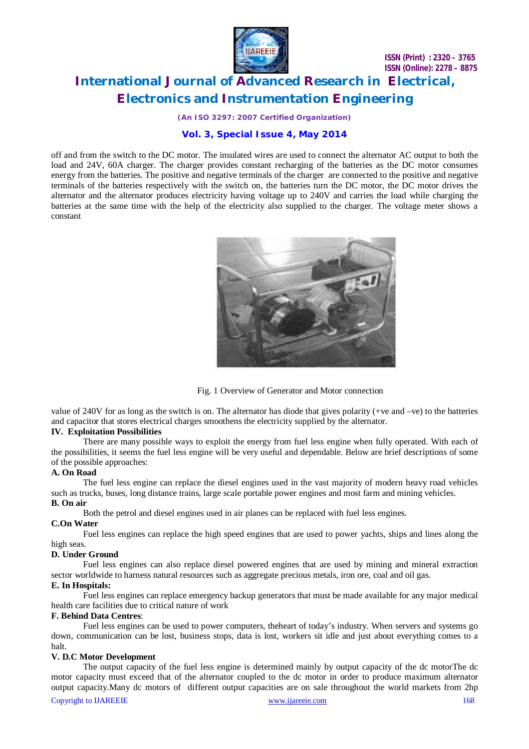

# **International Journal of Advanced Research in Electrical, Electronics and Instrumentation Engineering**

*(An ISO 3297: 2007 Certified Organization)*

# **Vol. 3, Special Issue 4, May 2014**

off and from the switch to the DC motor. The insulated wires are used to connect the alternator AC output to both the load and 24V, 60A charger. The charger provides constant recharging of the batteries as the DC motor consumes energy from the batteries. The positive and negative terminals of the charger are connected to the positive and negative terminals of the batteries respectively with the switch on, the batteries turn the DC motor, the DC motor drives the alternator and the alternator produces electricity having voltage up to 240V and carries the load while charging the batteries at the same time with the help of the electricity also supplied to the charger. The voltage meter shows a constant



Fig. 1 Overview of Generator and Motor connection

value of 240V for as long as the switch is on. The alternator has diode that gives polarity (+ve and –ve) to the batteries and capacitor that stores electrical charges smoothens the electricity supplied by the alternator.

### **IV. Exploitation Possibilities**

There are many possible ways to exploit the energy from fuel less engine when fully operated. With each of the possibilities, it seems the fuel less engine will be very useful and dependable. Below are brief descriptions of some of the possible approaches:

#### **A. On Road**

The fuel less engine can replace the diesel engines used in the vast majority of modern heavy road vehicles such as trucks, buses, long distance trains, large scale portable power engines and most farm and mining vehicles. **B. On air**

Both the petrol and diesel engines used in air planes can be replaced with fuel less engines.

#### **C.On Water**

Fuel less engines can replace the high speed engines that are used to power yachts, ships and lines along the high seas.

### **D. Under Ground**

Fuel less engines can also replace diesel powered engines that are used by mining and mineral extraction sector worldwide to harness natural resources such as aggregate precious metals, iron ore, coal and oil gas.

### **E. In Hospitals:**

Fuel less engines can replace emergency backup generators that must be made available for any major medical health care facilities due to critical nature of work

### **F. Behind Data Centres**:

Fuel less engines can be used to power computers, theheart of today's industry. When servers and systems go down, communication can be lost, business stops, data is lost, workers sit idle and just about everything comes to a halt.

# **V. D.C Motor Development**

Copyright to IJAREEIE www.ijareeie.com 168 The output capacity of the fuel less engine is determined mainly by output capacity of the dc motorThe dc motor capacity must exceed that of the alternator coupled to the dc motor in order to produce maximum alternator output capacity.Many dc motors of different output capacities are on sale throughout the world markets from 2hp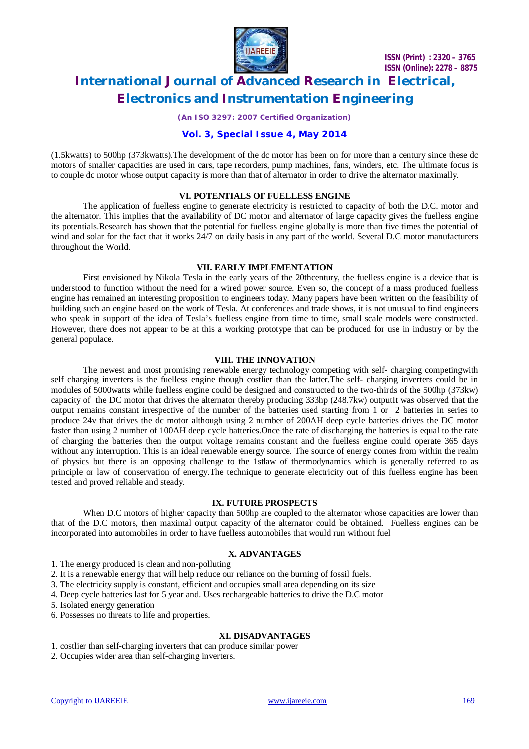

# **International Journal of Advanced Research in Electrical, Electronics and Instrumentation Engineering**

*(An ISO 3297: 2007 Certified Organization)*

# **Vol. 3, Special Issue 4, May 2014**

(1.5kwatts) to 500hp (373kwatts).The development of the dc motor has been on for more than a century since these dc motors of smaller capacities are used in cars, tape recorders, pump machines, fans, winders, etc. The ultimate focus is to couple dc motor whose output capacity is more than that of alternator in order to drive the alternator maximally.

### **VI. POTENTIALS OF FUELLESS ENGINE**

The application of fuelless engine to generate electricity is restricted to capacity of both the D.C. motor and the alternator. This implies that the availability of DC motor and alternator of large capacity gives the fuelless engine its potentials.Research has shown that the potential for fuelless engine globally is more than five times the potential of wind and solar for the fact that it works 24/7 on daily basis in any part of the world. Several D.C motor manufacturers throughout the World.

# **VII. EARLY IMPLEMENTATION**

First envisioned by Nikola Tesla in the early years of the 20thcentury, the fuelless engine is a device that is understood to function without the need for a wired power source. Even so, the concept of a mass produced fuelless engine has remained an interesting proposition to engineers today. Many papers have been written on the feasibility of building such an engine based on the work of Tesla. At conferences and trade shows, it is not unusual to find engineers who speak in support of the idea of Tesla's fuelless engine from time to time, small scale models were constructed. However, there does not appear to be at this a working prototype that can be produced for use in industry or by the general populace.

### **VIII. THE INNOVATION**

The newest and most promising renewable energy technology competing with self- charging competingwith self charging inverters is the fuelless engine though costlier than the latter.The self- charging inverters could be in modules of 5000watts while fuelless engine could be designed and constructed to the two-thirds of the 500hp (373kw) capacity of the DC motor that drives the alternator thereby producing 333hp (248.7kw) outputIt was observed that the output remains constant irrespective of the number of the batteries used starting from 1 or 2 batteries in series to produce 24v that drives the dc motor although using 2 number of 200AH deep cycle batteries drives the DC motor faster than using 2 number of 100AH deep cycle batteries.Once the rate of discharging the batteries is equal to the rate of charging the batteries then the output voltage remains constant and the fuelless engine could operate 365 days without any interruption. This is an ideal renewable energy source. The source of energy comes from within the realm of physics but there is an opposing challenge to the 1stlaw of thermodynamics which is generally referred to as principle or law of conservation of energy.The technique to generate electricity out of this fuelless engine has been tested and proved reliable and steady.

### **IX. FUTURE PROSPECTS**

When D.C motors of higher capacity than 500hp are coupled to the alternator whose capacities are lower than that of the D.C motors, then maximal output capacity of the alternator could be obtained. Fuelless engines can be incorporated into automobiles in order to have fuelless automobiles that would run without fuel

### **X. ADVANTAGES**

1. The energy produced is clean and non-polluting

- 2. It is a renewable energy that will help reduce our reliance on the burning of fossil fuels.
- 3. The electricity supply is constant, efficient and occupies small area depending on its size
- 4. Deep cycle batteries last for 5 year and. Uses rechargeable batteries to drive the D.C motor

5. Isolated energy generation

6. Possesses no threats to life and properties.

### **XI. DISADVANTAGES**

1. costlier than self-charging inverters that can produce similar power

2. Occupies wider area than self-charging inverters.